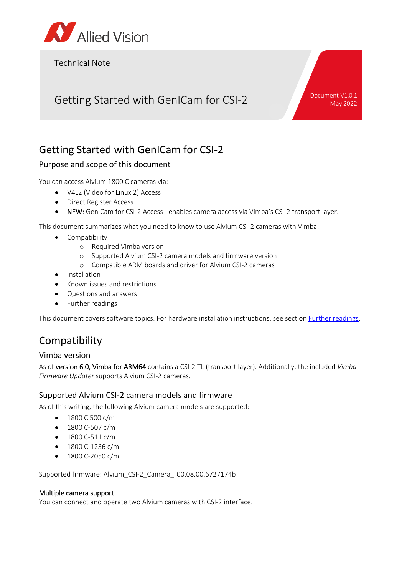

Technical Note

# Getting Started with GenICam for CSI-2 Document V1.0.1

May 2022

## Getting Started with GenICam for CSI-2

#### Purpose and scope of this document

You can access Alvium 1800 C cameras via:

- V4L2 (Video for Linux 2) Access
- Direct Register Access
- NEW: GenICam for CSI-2 Access enables camera access via Vimba's CSI-2 transport layer.

This document summarizes what you need to know to use Alvium CSI-2 cameras with Vimba:

- Compatibility
	- o Required Vimba version
	- o Supported Alvium CSI-2 camera models and firmware version
	- o Compatible ARM boards and driver for Alvium CSI-2 cameras
- **Installation**
- Known issues and restrictions
- Questions and answers
- Further readings

This document covers software topics. For hardware installation instructions, see section [Further readings.](#page-3-0)

## Compatibility

#### Vimba version

As of version 6.0, Vimba for ARM64 contains a CSI-2 TL (transport layer). Additionally, the included *Vimba Firmware Updater* supports Alvium CSI-2 cameras.

#### Supported Alvium CSI-2 camera models and firmware

As of this writing, the following Alvium camera models are supported:

- 1800 C 500 c/m
- 1800 C-507 c/m
- 1800 C-511 c/m
- 1800 C-1236 c/m
- 1800 C-2050 c/m

Supported firmware: Alvium\_CSI-2\_Camera\_ 00.08.00.6727174b

#### Multiple camera support

You can connect and operate two Alvium cameras with CSI-2 interface.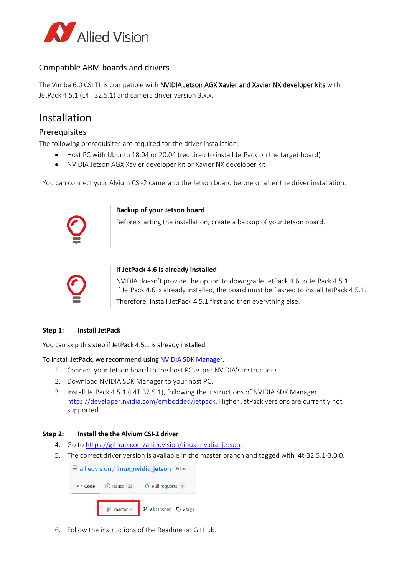

#### Compatible ARM boards and drivers

The Vimba 6.0 CSI TL is compatible with NVIDIA Jetson AGX Xavier and Xavier NX developer kits with JetPack 4.5.1 (L4T 32.5.1) and camera driver version 3.x.x.

### Installation

#### **Prerequisites**

The following prerequisites are required for the driver installation:

- Host PC with Ubuntu 18.04 or 20.04 (required to install JetPack on the target board)
- NVIDIA Jetson AGX Xavier developer kit or Xavier NX developer kit

You can connect your Alvium CSI-2 camera to the Jetson board before or after the driver installation.



#### **Backup of your Jetson board**

Before starting the installation, create a backup of your Jetson board.



#### **If JetPack 4.6 is already installed**

NVIDIA doesn't provide the option to downgrade JetPack 4.6 to JetPack 4.5.1. If JetPack 4.6 is already installed, the board must be flashed to install JetPack 4.5.1. Therefore, install JetPack 4.5.1 first and then everything else.

#### **Step 1: Install JetPack**

You can skip this step if JetPack 4.5.1 is already installed.

To install JetPack, we recommend usin[g NVIDIA SDK Manager.](https://developer.nvidia.com/nvidia-sdk-manager)

- 1. Connect your Jetson board to the host PC as per NVIDIA's instructions.
- 2. Download NVIDIA SDK Manager to your host PC.
- 3. Install JetPack 4.5.1 (L4T 32.5.1), following the instructions of NVIDIA SDK Manager: [https://developer.nvidia.com/embedded/jetpack.](https://developer.nvidia.com/embedded/jetpack) Higher JetPack versions are currently not supported.

#### **Step 2: Install the the Alvium CSI-2 driver**

- 4. Go to [https://github.com/alliedvision/linux\\_nvidia\\_jetson.](https://github.com/alliedvision/linux_nvidia_jetson)
- 5. The correct driver version is available in the master branch and tagged with l4t-32.5.1-3.0.0.

| □ alliedvision / linux_nvidia_jetson Public |  |                                                            |  |
|---------------------------------------------|--|------------------------------------------------------------|--|
| <> Code                                     |  | $\odot$ Issues 23 $\ddot{\hspace{1cm}}$ 23 Pull requests 1 |  |
|                                             |  | $\gamma$ master - $\gamma$ 8 branches $\gamma$ 5 tags      |  |

6. Follow the instructions of the Readme on GitHub.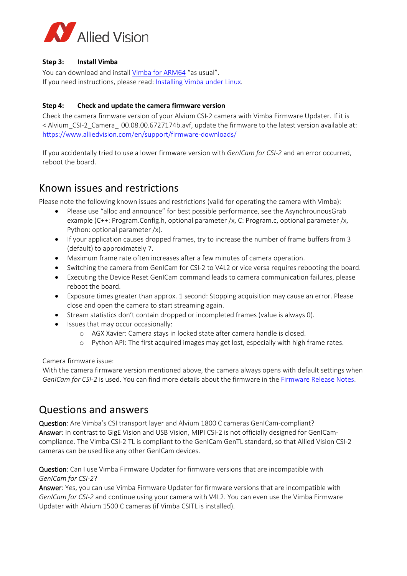

#### **Step 3: Install Vimba**

You can download and install [Vimba](https://www.alliedvision.com/en/products/vimba-sdk/) for ARM64 "as usual". If you need instructions, please read: [Installing Vimba under Linux.](https://cdn.alliedvision.com/fileadmin/content/documents/products/software/software/Vimba/appnote/Vimba_installation_under_Linux.pdf)

#### **Step 4: Check and update the camera firmware version**

Check the camera firmware version of your Alvium CSI-2 camera with Vimba Firmware Updater. If it is < Alvium\_CSI-2\_Camera\_ 00.08.00.6727174b.avf, update the firmware to the latest version available at: <https://www.alliedvision.com/en/support/firmware-downloads/>

If you accidentally tried to use a lower firmware version with *GenICam for CSI-2* and an error occurred, reboot the board.

### Known issues and restrictions

Please note the following known issues and restrictions (valid for operating the camera with Vimba):

- Please use "alloc and announce" for best possible performance, see the AsynchrounousGrab example (C++: Program.Config.h, optional parameter /x, C: Program.c, optional parameter /x, Python: optional parameter /x).
- If your application causes dropped frames, try to increase the number of frame buffers from 3 (default) to approximately 7.
- Maximum frame rate often increases after a few minutes of camera operation.
- Switching the camera from GenICam for CSI-2 to V4L2 or vice versa requires rebooting the board.
- Executing the Device Reset GenICam command leads to camera communication failures, please reboot the board.
- Exposure times greater than approx. 1 second: Stopping acquisition may cause an error. Please close and open the camera to start streaming again.
- Stream statistics don't contain dropped or incompleted frames (value is always 0).
- Issues that may occur occasionally:
	- o AGX Xavier: Camera stays in locked state after camera handle is closed.
	- o Python API: The first acquired images may get lost, especially with high frame rates.

Camera firmware issue:

With the camera firmware version mentioned above, the camera always opens with default settings when *GenICam for CSI-2* is used. You can find more details about the firmware in the [Firmware Release Notes.](https://www.alliedvision.com/en/support/firmware-downloads/) 

### Questions and answers

Question: Are Vimba's CSI transport layer and Alvium 1800 C cameras GenICam-compliant? Answer: In contrast to GigE Vision and USB Vision, MIPI CSI-2 is not officially designed for GenICamcompliance. The Vimba CSI-2 TL is compliant to the GenICam GenTL standard, so that Allied Vision CSI-2 cameras can be used like any other GenICam devices.

Question: Can I use Vimba Firmware Updater for firmware versions that are incompatible with *GenICam for CSI-2*?

Answer: Yes, you can use Vimba Firmware Updater for firmware versions that are incompatible with *GenICam for CSI-2* and continue using your camera with V4L2. You can even use the Vimba Firmware Updater with Alvium 1500 C cameras (if Vimba CSITL is installed).